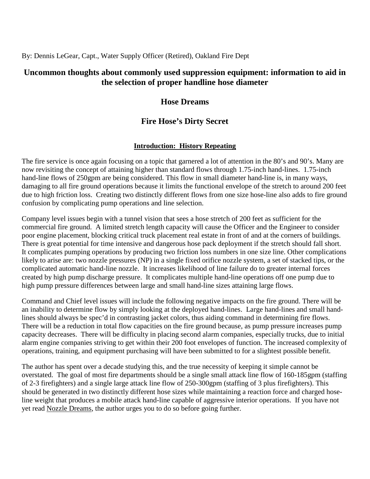By: Dennis LeGear, Capt., Water Supply Officer (Retired), Oakland Fire Dept

# **Uncommon thoughts about commonly used suppression equipment: information to aid in the selection of proper handline hose diameter**

# **Hose Dreams**

# **Fire Hose's Dirty Secret**

## **Introduction: History Repeating**

The fire service is once again focusing on a topic that garnered a lot of attention in the 80's and 90's. Many are now revisiting the concept of attaining higher than standard flows through 1.75-inch hand-lines. 1.75-inch hand-line flows of 250gpm are being considered. This flow in small diameter hand-line is, in many ways, damaging to all fire ground operations because it limits the functional envelope of the stretch to around 200 feet due to high friction loss. Creating two distinctly different flows from one size hose-line also adds to fire ground confusion by complicating pump operations and line selection.

Company level issues begin with a tunnel vision that sees a hose stretch of 200 feet as sufficient for the commercial fire ground. A limited stretch length capacity will cause the Officer and the Engineer to consider poor engine placement, blocking critical truck placement real estate in front of and at the corners of buildings. There is great potential for time intensive and dangerous hose pack deployment if the stretch should fall short. It complicates pumping operations by producing two friction loss numbers in one size line. Other complications likely to arise are: two nozzle pressures (NP) in a single fixed orifice nozzle system, a set of stacked tips, or the complicated automatic hand-line nozzle. It increases likelihood of line failure do to greater internal forces created by high pump discharge pressure. It complicates multiple hand-line operations off one pump due to high pump pressure differences between large and small hand-line sizes attaining large flows.

Command and Chief level issues will include the following negative impacts on the fire ground. There will be an inability to determine flow by simply looking at the deployed hand-lines. Large hand-lines and small handlines should always be spec'd in contrasting jacket colors, thus aiding command in determining fire flows. There will be a reduction in total flow capacities on the fire ground because, as pump pressure increases pump capacity decreases. There will be difficulty in placing second alarm companies, especially trucks, due to initial alarm engine companies striving to get within their 200 foot envelopes of function. The increased complexity of operations, training, and equipment purchasing will have been submitted to for a slightest possible benefit.

The author has spent over a decade studying this, and the true necessity of keeping it simple cannot be overstated. The goal of most fire departments should be a single small attack line flow of 160-185gpm (staffing of 2-3 firefighters) and a single large attack line flow of 250-300gpm (staffing of 3 plus firefighters). This should be generated in two distinctly different hose sizes while maintaining a reaction force and charged hoseline weight that produces a mobile attack hand-line capable of aggressive interior operations. If you have not yet read Nozzle Dreams, the author urges you to do so before going further.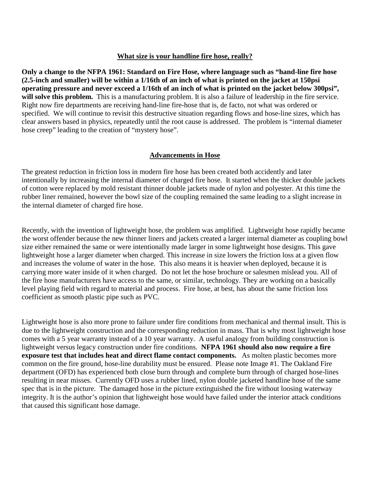#### **What size is your handline fire hose, really?**

**Only a change to the NFPA 1961: Standard on Fire Hose, where language such as "hand-line fire hose (2.5-inch and smaller) will be within a 1/16th of an inch of what is printed on the jacket at 150psi operating pressure and never exceed a 1/16th of an inch of what is printed on the jacket below 300psi",**  will solve this problem. This is a manufacturing problem. It is also a failure of leadership in the fire service. Right now fire departments are receiving hand-line fire-hose that is, de facto, not what was ordered or specified. We will continue to revisit this destructive situation regarding flows and hose-line sizes, which has clear answers based in physics, repeatedly until the root cause is addressed. The problem is "internal diameter hose creep" leading to the creation of "mystery hose".

#### **Advancements in Hose**

The greatest reduction in friction loss in modern fire hose has been created both accidently and later intentionally by increasing the internal diameter of charged fire hose. It started when the thicker double jackets of cotton were replaced by mold resistant thinner double jackets made of nylon and polyester. At this time the rubber liner remained, however the bowl size of the coupling remained the same leading to a slight increase in the internal diameter of charged fire hose.

Recently, with the invention of lightweight hose, the problem was amplified. Lightweight hose rapidly became the worst offender because the new thinner liners and jackets created a larger internal diameter as coupling bowl size either remained the same or were intentionally made larger in some lightweight hose designs. This gave lightweight hose a larger diameter when charged. This increase in size lowers the friction loss at a given flow and increases the volume of water in the hose. This also means it is heavier when deployed, because it is carrying more water inside of it when charged. Do not let the hose brochure or salesmen mislead you. All of the fire hose manufacturers have access to the same, or similar, technology. They are working on a basically level playing field with regard to material and process. Fire hose, at best, has about the same friction loss coefficient as smooth plastic pipe such as PVC.

Lightweight hose is also more prone to failure under fire conditions from mechanical and thermal insult. This is due to the lightweight construction and the corresponding reduction in mass. That is why most lightweight hose comes with a 5 year warranty instead of a 10 year warranty. A useful analogy from building construction is lightweight versus legacy construction under fire conditions. **NFPA 1961 should also now require a fire exposure test that includes heat and direct flame contact components.** As molten plastic becomes more common on the fire ground, hose-line durability must be ensured. Please note Image #1. The Oakland Fire department (OFD) has experienced both close burn through and complete burn through of charged hose-lines resulting in near misses. Currently OFD uses a rubber lined, nylon double jacketed handline hose of the same spec that is in the picture. The damaged hose in the picture extinguished the fire without loosing waterway integrity. It is the author's opinion that lightweight hose would have failed under the interior attack conditions that caused this significant hose damage.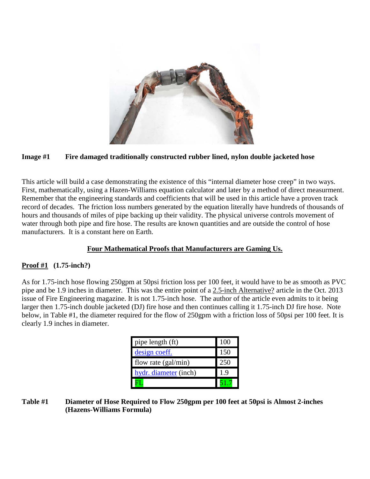

#### **Image #1 Fire damaged traditionally constructed rubber lined, nylon double jacketed hose**

This article will build a case demonstrating the existence of this "internal diameter hose creep" in two ways. First, mathematically, using a Hazen-Williams equation calculator and later by a method of direct measurment. Remember that the engineering standards and coefficients that will be used in this article have a proven track record of decades. The friction loss numbers generated by the equation literally have hundreds of thousands of hours and thousands of miles of pipe backing up their validity. The physical universe controls movement of water through both pipe and fire hose. The results are known quantities and are outside the control of hose manufacturers. It is a constant here on Earth.

### **Four Mathematical Proofs that Manufacturers are Gaming Us.**

### **Proof #1 (1.75-inch?)**

As for 1.75-inch hose flowing 250gpm at 50psi friction loss per 100 feet, it would have to be as smooth as PVC pipe and be 1.9 inches in diameter. This was the entire point of a 2.5-inch Alternative? article in the Oct. 2013 issue of Fire Engineering magazine. It is not 1.75-inch hose. The author of the article even admits to it being larger then 1.75-inch double jacketed (DJ) fire hose and then continues calling it 1.75-inch DJ fire hose. Note below, in Table #1, the diameter required for the flow of 250gpm with a friction loss of 50psi per 100 feet. It is clearly 1.9 inches in diameter.

| pipe length (ft)      | 100        |
|-----------------------|------------|
| design coeff.         | 150        |
| flow rate (gal/min)   | 250        |
| hydr. diameter (inch) | 1.9        |
|                       | $\bigcirc$ |

#### **Table #1 Diameter of Hose Required to Flow 250gpm per 100 feet at 50psi is Almost 2-inches (Hazens-Williams Formula)**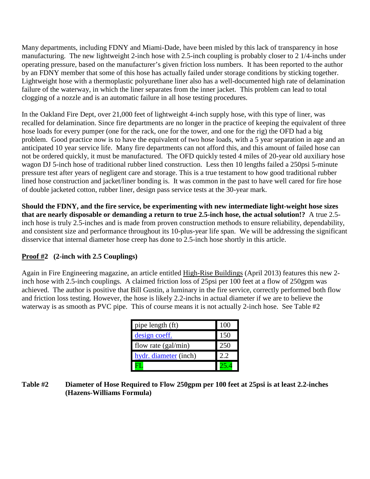Many departments, including FDNY and Miami-Dade, have been misled by this lack of transparency in hose manufacturing. The new lightweight 2-inch hose with 2.5-inch coupling is probably closer to 2 1/4-inchs under operating pressure, based on the manufacturer's given friction loss numbers. It has been reported to the author by an FDNY member that some of this hose has actually failed under storage conditions by sticking together. Lightweight hose with a thermoplastic polyurethane liner also has a well-documented high rate of delamination failure of the waterway, in which the liner separates from the inner jacket. This problem can lead to total clogging of a nozzle and is an automatic failure in all hose testing procedures.

In the Oakland Fire Dept, over 21,000 feet of lightweight 4-inch supply hose, with this type of liner, was recalled for delamination. Since fire departments are no longer in the practice of keeping the equivalent of three hose loads for every pumper (one for the rack, one for the tower, and one for the rig) the OFD had a big problem. Good practice now is to have the equivalent of two hose loads, with a 5 year separation in age and an anticipated 10 year service life. Many fire departments can not afford this, and this amount of failed hose can not be ordered quickly, it must be manufactured. The OFD quickly tested 4 miles of 20-year old auxiliary hose wagon DJ 5-inch hose of traditional rubber lined construction. Less then 10 lengths failed a 250psi 5-minute pressure test after years of negligent care and storage. This is a true testament to how good traditional rubber lined hose construction and jacket/liner bonding is. It was common in the past to have well cared for fire hose of double jacketed cotton, rubber liner, design pass service tests at the 30-year mark.

**Should the FDNY, and the fire service, be experimenting with new intermediate light-weight hose sizes that are nearly disposable or demanding a return to true 2.5-inch hose, the actual solution!?** A true 2.5 inch hose is truly 2.5-inches and is made from proven construction methods to ensure reliability, dependability, and consistent size and performance throughout its 10-plus-year life span. We will be addressing the significant disservice that internal diameter hose creep has done to 2.5-inch hose shortly in this article.

## **Proof #2 (2-inch with 2.5 Couplings)**

Again in Fire Engineering magazine, an article entitled High-Rise Buildings (April 2013) features this new 2 inch hose with 2.5-inch couplings. A claimed friction loss of 25psi per 100 feet at a flow of 250gpm was achieved. The author is positive that Bill Gustin, a luminary in the fire service, correctly performed both flow and friction loss testing. However, the hose is likely 2.2-inchs in actual diameter if we are to believe the waterway is as smooth as PVC pipe. This of course means it is not actually 2-inch hose. See Table #2

| pipe length (ft)      | 100  |
|-----------------------|------|
| design coeff.         | 150  |
| flow rate (gal/min)   | 250  |
| hydr. diameter (inch) | 2.2. |
|                       |      |

### **Table #2 Diameter of Hose Required to Flow 250gpm per 100 feet at 25psi is at least 2.2-inches (Hazens-Williams Formula)**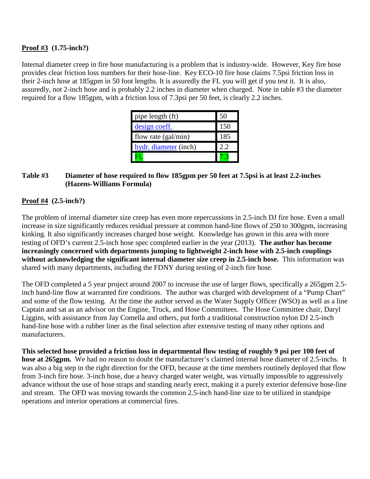### **Proof #3 (1.75-inch?)**

Internal diameter creep in fire hose manufacturing is a problem that is industry-wide. However, Key fire hose provides clear friction loss numbers for their hose-line. Key ECO-10 fire hose claims 7.5psi friction loss in their 2-inch hose at 185gpm in 50 foot lengths. It is assuredly the FL you will get if you test it. It is also, assuredly, not 2-inch hose and is probably 2.2 inches in diameter when charged. Note in table #3 the diameter required for a flow 185gpm, with a friction loss of 7.3psi per 50 feet, is clearly 2.2 inches.

| pipe length (ft)      | 50   |
|-----------------------|------|
| design coeff.         | 150  |
| flow rate (gal/min)   | 185  |
| hydr. diameter (inch) | 2.2. |
|                       |      |

#### **Table #3 Diameter of hose required to flow 185gpm per 50 feet at 7.5psi is at least 2.2-inches (Hazens-Williams Formula)**

## **Proof #4 (2.5-inch?)**

The problem of internal diameter size creep has even more repercussions in 2.5-inch DJ fire hose. Even a small increase in size significantly reduces residual pressure at common hand-line flows of 250 to 300gpm, increasing kinking. It also significantly increases charged hose weight. Knowledge has grown in this area with more testing of OFD's current 2.5-inch hose spec completed earlier in the year (2013). **The author has become increasingly concerned with departments jumping to lightweight 2-inch hose with 2.5-inch couplings without acknowledging the significant internal diameter size creep in 2.5-inch hose.** This information was shared with many departments, including the FDNY during testing of 2-inch fire hose.

The OFD completed a 5 year project around 2007 to increase the use of larger flows, specifically a 265gpm 2.5 inch hand-line flow at warranted fire conditions. The author was charged with development of a "Pump Chart" and some of the flow testing. At the time the author served as the Water Supply Officer (WSO) as well as a line Captain and sat as an advisor on the Engine, Truck, and Hose Committees. The Hose Committee chair, Daryl Liggins, with assistance from Jay Comella and others, put forth a traditional construction nylon DJ 2.5-inch hand-line hose with a rubber liner as the final selection after extensive testing of many other options and manufacturers.

**This selected hose provided a friction loss in departmental flow testing of roughly 9 psi per 100 feet of hose at 265gpm.** We had no reason to doubt the manufacturer's claimed internal hose diameter of 2.5-inchs. It was also a big step in the right direction for the OFD, because at the time members routinely deployed that flow from 3-inch fire hose. 3-inch hose, due a heavy charged water weight, was virtually impossible to aggressively advance without the use of hose straps and standing nearly erect, making it a purely exterior defensive hose-line and stream. The OFD was moving towards the common 2.5-inch hand-line size to be utilized in standpipe operations and interior operations at commercial fires.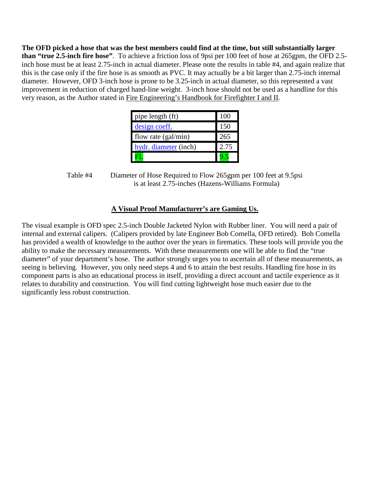**The OFD picked a hose that was the best members could find at the time, but still substantially larger than "true 2.5-inch fire hose"**. To achieve a friction loss of 9psi per 100 feet of hose at 265gpm, the OFD 2.5 inch hose must be at least 2.75-inch in actual diameter. Please note the results in table #4, and again realize that this is the case only if the fire hose is as smooth as PVC. It may actually be a bit larger than 2.75-inch internal diameter. However, OFD 3-inch hose is prone to be 3.25-inch in actual diameter, so this represented a vast improvement in reduction of charged hand-line weight. 3-inch hose should not be used as a handline for this very reason, as the Author stated in Fire Engineering's Handbook for Firefighter I and II.

| pipe length (ft)      | 100  |
|-----------------------|------|
| design coeff.         | 150  |
| flow rate (gal/min)   | 265  |
| hydr. diameter (inch) | 2.75 |
|                       |      |

Table #4 Diameter of Hose Required to Flow 265gpm per 100 feet at 9.5psi is at least 2.75-inches (Hazens-Williams Formula)

### **A Visual Proof Manufacturer's are Gaming Us.**

The visual example is OFD spec 2.5-inch Double Jacketed Nylon with Rubber liner. You will need a pair of internal and external calipers. (Calipers provided by late Engineer Bob Comella, OFD retired). Bob Comella has provided a wealth of knowledge to the author over the years in firematics. These tools will provide you the ability to make the necessary measurements. With these measurements one will be able to find the "true diameter" of your department's hose. The author strongly urges you to ascertain all of these measurements, as seeing is believing. However, you only need steps 4 and 6 to attain the best results. Handling fire hose in its component parts is also an educational process in itself, providing a direct account and tactile experience as it relates to durability and construction. You will find cutting lightweight hose much easier due to the significantly less robust construction.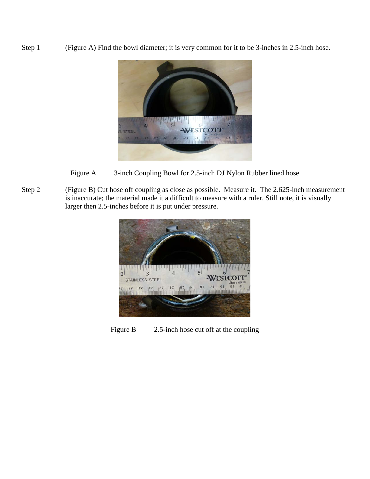Step 1 (Figure A) Find the bowl diameter; it is very common for it to be 3-inches in 2.5-inch hose.



- Figure A 3-inch Coupling Bowl for 2.5-inch DJ Nylon Rubber lined hose
- Step 2 (Figure B) Cut hose off coupling as close as possible. Measure it. The 2.625-inch measurement is inaccurate; the material made it a difficult to measure with a ruler. Still note, it is visually larger then 2.5-inches before it is put under pressure.



Figure B 2.5-inch hose cut off at the coupling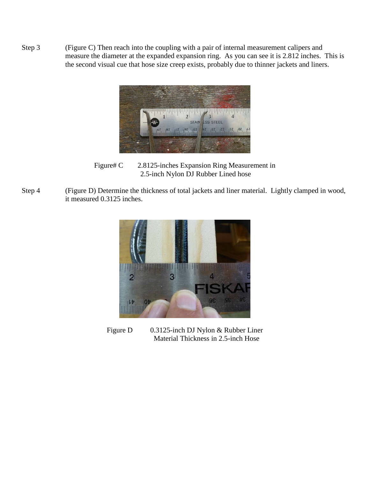Step 3 (Figure C) Then reach into the coupling with a pair of internal measurement calipers and measure the diameter at the expanded expansion ring. As you can see it is 2.812 inches. This is the second visual cue that hose size creep exists, probably due to thinner jackets and liners.



Figure# C 2.8125-inches Expansion Ring Measurement in 2.5-inch Nylon DJ Rubber Lined hose

Step 4 (Figure D) Determine the thickness of total jackets and liner material. Lightly clamped in wood, it measured 0.3125 inches.



Figure D 0.3125-inch DJ Nylon & Rubber Liner Material Thickness in 2.5-inch Hose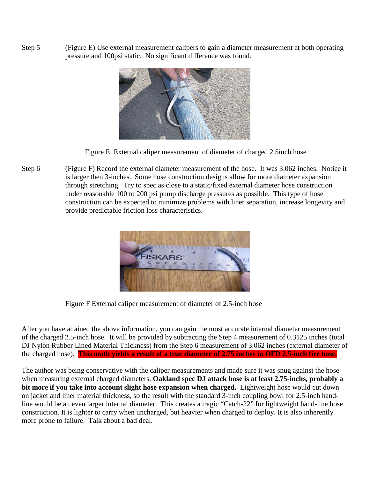Step 5 (Figure E) Use external measurement calipers to gain a diameter measurement at both operating pressure and 100psi static. No significant difference was found.



Figure E External caliper measurement of diameter of charged 2.5inch hose

Step 6 (Figure F) Record the external diameter measurement of the hose. It was 3.062 inches. Notice it is larger then 3-inches. Some hose construction designs allow for more diameter expansion through stretching. Try to spec as close to a static/fixed external diameter hose construction under reasonable 100 to 200 psi pump discharge pressures as possible. This type of hose construction can be expected to minimize problems with liner separation, increase longevity and provide predictable friction loss characteristics.



Figure F External caliper measurement of diameter of 2.5-inch hose

After you have attained the above information, you can gain the most accurate internal diameter measurement of the charged 2.5-inch hose. It will be provided by subtracting the Step 4 measurement of 0.3125 inches (total DJ Nylon Rubber Lined Material Thickness) from the Step 6 measurement of 3.062 inches (external diameter of the charged hose). **This math yields a result of a true diameter of 2.75 inches in OFD 2.5-inch fire hose.** 

The author was being conservative with the caliper measurements and made sure it was snug against the hose when measuring external charged diameters. **Oakland spec DJ attack hose is at least 2.75-inchs, probably a bit more if you take into account slight hose expansion when charged.** Lightweight hose would cut down on jacket and liner material thickness, so the result with the standard 3-inch coupling bowl for 2.5-inch handline would be an even larger internal diameter. This creates a tragic "Catch-22" for lightweight hand-line hose construction. It is lighter to carry when uncharged, but heavier when charged to deploy. It is also inherently more prone to failure. Talk about a bad deal.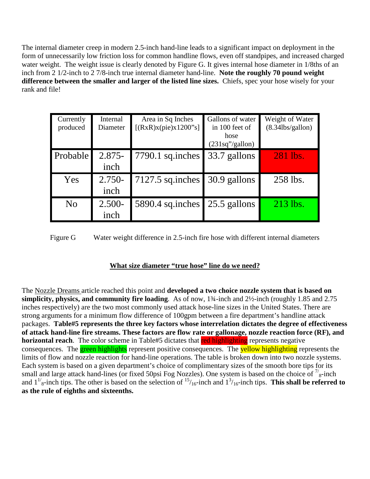The internal diameter creep in modern 2.5-inch hand-line leads to a significant impact on deployment in the form of unnecessarily low friction loss for common handline flows, even off standpipes, and increased charged water weight. The weight issue is clearly denoted by Figure G. It gives internal hose diameter in 1/8ths of an inch from 2 1/2-inch to 2 7/8-inch true internal diameter hand-line. **Note the roughly 70 pound weight difference between the smaller and larger of the listed line sizes.** Chiefs, spec your hose wisely for your rank and file!

| Currently<br>produced | Internal<br>Diameter | Area in Sq Inches<br>[(RxR)x(pie)x1200"s] | Gallons of water<br>in 100 feet of<br>hose<br>(231sq''/gallon) | Weight of Water<br>$(8.34$ lbs/gallon $)$ |
|-----------------------|----------------------|-------------------------------------------|----------------------------------------------------------------|-------------------------------------------|
| Probable              | $2.875 -$<br>inch    | 7790.1 sq.inches                          | 33.7 gallons                                                   | 281 lbs.                                  |
| Yes                   | $2.750-$<br>inch     | $7127.5$ sq.inches                        | 30.9 gallons                                                   | 258 lbs.                                  |
| N <sub>0</sub>        | $2.500 -$<br>inch    | 5890.4 sq.inches                          | 25.5 gallons                                                   | 213 lbs.                                  |

Figure G Water weight difference in 2.5-inch fire hose with different internal diameters

## **What size diameter "true hose" line do we need?**

The Nozzle Dreams article reached this point and **developed a two choice nozzle system that is based on simplicity, physics, and community fire loading**. As of now, 1¾-inch and 2½-inch (roughly 1.85 and 2.75 inches respectively) are the two most commonly used attack hose-line sizes in the United States. There are strong arguments for a minimum flow difference of 100gpm between a fire department's handline attack packages. **Table#5 represents the three key factors whose interrelation dictates the degree of effectiveness of attack hand-line fire streams. These factors are flow rate or gallonage, nozzle reaction force (RF), and horizontal reach**. The color scheme in Table#5 dictates that red highlighting represents negative consequences. The **green highlights** represent positive consequences. The **yellow highlighting** represents the limits of flow and nozzle reaction for hand-line operations. The table is broken down into two nozzle systems. Each system is based on a given department's choice of complimentary sizes of the smooth bore tips for its small and large attack hand-lines (or fixed 50psi Fog Nozzles). One system is based on the choice of  $\frac{7}{8}$ -inch and  $1^{1/8}$ -inch tips. The other is based on the selection of  $15/16$ -inch and  $1^3/16$ -inch tips. This shall be referred to **as the rule of eighths and sixteenths.**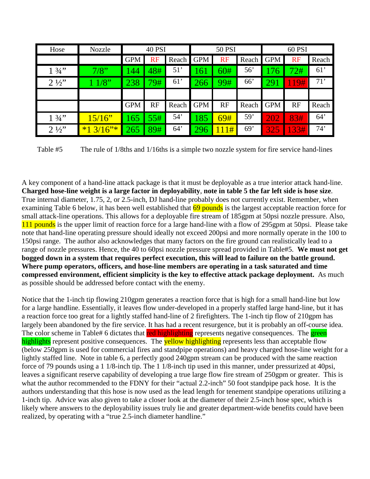| Hose            | Nozzle    | <b>40 PSI</b> |      | 50 PSI |            | 60 PSI    |       |                 |           |       |
|-----------------|-----------|---------------|------|--------|------------|-----------|-------|-----------------|-----------|-------|
|                 |           | <b>GPM</b>    | RF   | Reach  | <b>GPM</b> | <b>RF</b> | Reach | <b>GPM</b>      | <b>RF</b> | Reach |
| $1 \frac{3}{4}$ | 7/8"      | 144           | 48#7 | 51'    | 161        | 60#       | 56'   | 176             | 72#       | 61'   |
| $2\frac{1}{2}$  | 1/8"      | 238           | 79#  | 61'    | 266        | 99#       | 66    | $\overline{29}$ | 19#       | 71'   |
|                 |           |               |      |        |            |           |       |                 |           |       |
|                 |           | <b>GPM</b>    | RF   | Reach  | <b>GPM</b> | RF        | Reach | <b>GPM</b>      | RF        | Reach |
| $1 \frac{3}{4}$ | 15/16"    | 165           | 55#  | 54'    | 185        | 69#       | 59'   | 202             | 83#       | 64'   |
| $2\frac{1}{2}$  | $*13/16"$ | 265           | 89#  | 64'    | 296        | 11#       | 69'   | 325             | 33#       | 74'   |

Table #5 The rule of 1/8ths and 1/16ths is a simple two nozzle system for fire service hand-lines

A key component of a hand-line attack package is that it must be deployable as a true interior attack hand-line. **Charged hose-line weight is a large factor in deployability**, **note in table 5 the far left side is hose size**. True internal diameter, 1.75, 2, or 2.5-inch, DJ hand-line probably does not currently exist. Remember, when examining Table 6 below, it has been well established that 69 pounds is the largest acceptable reaction force for small attack-line operations. This allows for a deployable fire stream of 185gpm at 50psi nozzle pressure. Also, 111 pounds is the upper limit of reaction force for a large hand-line with a flow of 295gpm at 50psi. Please take note that hand-line operating pressure should ideally not exceed 200psi and more normally operate in the 100 to 150psi range. The author also acknowledges that many factors on the fire ground can realistically lead to a range of nozzle pressures. Hence, the 40 to 60psi nozzle pressure spread provided in Table#5. **We must not get bogged down in a system that requires perfect execution, this will lead to failure on the battle ground. Where pump operators, officers, and hose-line members are operating in a task saturated and time compressed environment, efficient simplicity is the key to effective attack package deployment.** As much as possible should be addressed before contact with the enemy.

Notice that the 1-inch tip flowing 210gpm generates a reaction force that is high for a small hand-line but low for a large handline. Essentially, it leaves flow under-developed in a properly staffed large hand-line, but it has a reaction force too great for a lightly staffed hand-line of 2 firefighters. The 1-inch tip flow of 210gpm has largely been abandoned by the fire service. It has had a recent resurgence, but it is probably an off-course idea. The color scheme in Table# 6 dictates that red highlighting represents negative consequences. The green highlights represent positive consequences. The **yellow highlighting** represents less than acceptable flow (below 250gpm is used for commercial fires and standpipe operations) and heavy charged hose-line weight for a lightly staffed line. Note in table 6, a perfectly good 240gpm stream can be produced with the same reaction force of 79 pounds using a 1 1/8-inch tip. The 1 1/8-inch tip used in this manner, under pressurized at 40psi, leaves a significant reserve capability of developing a true large flow fire stream of 250gpm or greater. This is what the author recommended to the FDNY for their "actual 2.2-inch" 50 foot standpipe pack hose. It is the authors understanding that this hose is now used as the lead length for tenement standpipe operations utilizing a 1-inch tip. Advice was also given to take a closer look at the diameter of their 2.5-inch hose spec, which is likely where answers to the deployability issues truly lie and greater department-wide benefits could have been realized, by operating with a "true 2.5-inch diameter handline."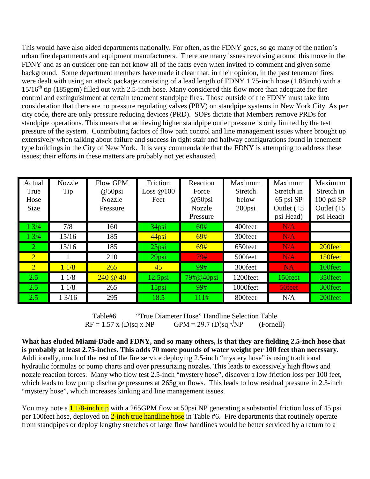This would have also aided departments nationally. For often, as the FDNY goes, so go many of the nation's urban fire departments and equipment manufacturers. There are many issues revolving around this move in the FDNY and as an outsider one can not know all of the facts even when invited to comment and given some background. Some department members have made it clear that, in their opinion, in the past tenement fires were dealt with using an attack package consisting of a lead length of FDNY 1.75-inch hose (1.88inch) with a  $15/16<sup>th</sup>$  tip (185gpm) filled out with 2.5-inch hose. Many considered this flow more than adequate for fire control and extinguishment at certain tenement standpipe fires. Those outside of the FDNY must take into consideration that there are no pressure regulating valves (PRV) on standpipe systems in New York City. As per city code, there are only pressure reducing devices (PRD). SOPs dictate that Members remove PRDs for standpipe operations. This means that achieving higher standpipe outlet pressure is only limited by the test pressure of the system. Contributing factors of flow path control and line management issues where brought up extensively when talking about failure and success in tight stair and hallway configurations found in tenement type buildings in the City of New York. It is very commendable that the FDNY is attempting to address these issues; their efforts in these matters are probably not yet exhausted.

| Actual         | <b>Nozzle</b> | Flow GPM      | Friction   | Reaction      | Maximum  | Maximum       | Maximum       |
|----------------|---------------|---------------|------------|---------------|----------|---------------|---------------|
| True           | Tip           | $@50$ psi     | Loss @100  | Force         | Stretch  | Stretch in    | Stretch in    |
| Hose           |               | <b>Nozzle</b> | Feet       | $@50$ psi     | below    | 65 psi SP     | 100 psi SP    |
| Size           |               | Pressure      |            | <b>Nozzle</b> | 200psi   | Outlet $(+5)$ | Outlet $(+5)$ |
|                |               |               |            | Pressure      |          | psi Head)     | psi Head)     |
| 13/4           | 7/8           | 160           | $34$ psi   | 60#           | 400feet  | N/A           |               |
| 13/4           | 15/16         | 185           | 44psi      | 69#           | 300feet  | N/A           |               |
| $\overline{2}$ | 15/16         | 185           | $23$ psi   | 69#           | 650feet  | N/A           | 200feet       |
| $\overline{2}$ |               | 210           | $29$ psi   | 79#           | 500feet  | N/A           | 150feet       |
| $\overline{2}$ | 11/8          | 265           | 45         | 99#           | 300feet  | <b>NA</b>     | 100feet       |
| 2.5            | 11/8          | 240@40        | $12.5$ psi | 79#@40psi     | 1200feet | 150feet       | 350feet       |
| 2.5            | 11/8          | 265           | $15$ psi   | 99#           | 1000feet | 50feet        | 300feet       |
| 2.5            | 13/16         | 295           | 18.5       | 111#          | 800feet  | N/A           | 200feet       |

Table#6 "True Diameter Hose" Handline Selection Table<br> $F = 1.57 \times (D)$ sq x NP GPM = 29.7 (D)sq  $\sqrt{NP}$  (Forne)  $RF = 1.57$  x (D)sq x NP GPM = 29.7 (D)sq  $\sqrt{NP}$  (Fornell)

**What has eluded Miami-Dade and FDNY, and so many others, is that they are fielding 2.5-inch hose that is probably at least 2.75-inches. This adds 70 more pounds of water weight per 100 feet than necessary**. Additionally, much of the rest of the fire service deploying 2.5-inch "mystery hose" is using traditional hydraulic formulas or pump charts and over pressurizing nozzles. This leads to excessively high flows and nozzle reaction forces. Many who flow test 2.5-inch "mystery hose", discover a low friction loss per 100 feet, which leads to low pump discharge pressures at 265gpm flows. This leads to low residual pressure in 2.5-inch "mystery hose", which increases kinking and line management issues.

You may note a **1 1/8-inch tip** with a 265GPM flow at 50psi NP generating a substantial friction loss of 45 psi per 100feet hose, deployed on 2-inch true handline hose in Table #6. Fire departments that routinely operate from standpipes or deploy lengthy stretches of large flow handlines would be better serviced by a return to a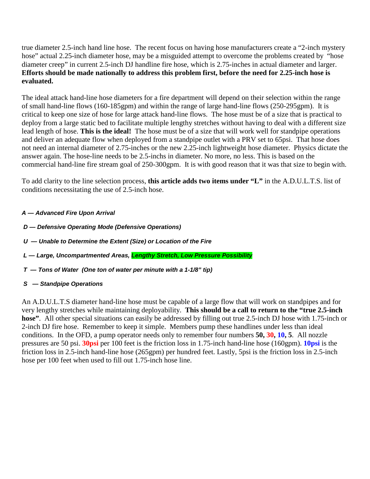true diameter 2.5-inch hand line hose. The recent focus on having hose manufacturers create a "2-inch mystery hose" actual 2.25-inch diameter hose, may be a misguided attempt to overcome the problems created by "hose diameter creep" in current 2.5-inch DJ handline fire hose, which is 2.75-inches in actual diameter and larger. **Efforts should be made nationally to address this problem first, before the need for 2.25-inch hose is evaluated.**

The ideal attack hand-line hose diameters for a fire department will depend on their selection within the range of small hand-line flows (160-185gpm) and within the range of large hand-line flows (250-295gpm). It is critical to keep one size of hose for large attack hand-line flows. The hose must be of a size that is practical to deploy from a large static bed to facilitate multiple lengthy stretches without having to deal with a different size lead length of hose. **This is the ideal!** The hose must be of a size that will work well for standpipe operations and deliver an adequate flow when deployed from a standpipe outlet with a PRV set to 65psi. That hose does not need an internal diameter of 2.75-inches or the new 2.25-inch lightweight hose diameter. Physics dictate the answer again. The hose-line needs to be 2.5-inchs in diameter. No more, no less. This is based on the commercial hand-line fire stream goal of 250-300gpm. It is with good reason that it was that size to begin with.

To add clarity to the line selection process, **this article adds two items under "L"** in the A.D.U.L.T.S. list of conditions necessitating the use of 2.5-inch hose.

### *A — Advanced Fire Upon Arrival*

- *D — Defensive Operating Mode (Defensive Operations)*
- *U — Unable to Determine the Extent (Size) or Location of the Fire*
- *L — Large, Uncompartmented Areas, Lengthy Stretch, Low Pressure Possibility*
- *T — Tons of Water (One ton of water per minute with a 1-1/8" tip)*
- *S — Standpipe Operations*

An A.D.U.L.T.S diameter hand-line hose must be capable of a large flow that will work on standpipes and for very lengthy stretches while maintaining deployability. **This should be a call to return to the "true 2.5-inch hose"**. All other special situations can easily be addressed by filling out true 2.5-inch DJ hose with 1.75-inch or 2-inch DJ fire hose. Remember to keep it simple. Members pump these handlines under less than ideal conditions. In the OFD, a pump operator needs only to remember four numbers **50, 30, 10, 5**. All nozzle pressures are 50 psi. **30psi** per 100 feet is the friction loss in 1.75-inch hand-line hose (160gpm). **10psi** is the friction loss in 2.5-inch hand-line hose (265gpm) per hundred feet. Lastly, 5psi is the friction loss in 2.5-inch hose per 100 feet when used to fill out 1.75-inch hose line.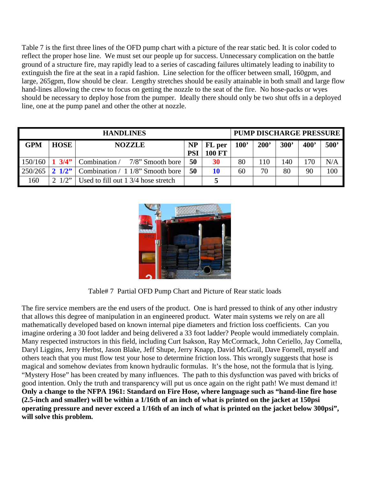Table 7 is the first three lines of the OFD pump chart with a picture of the rear static bed. It is color coded to reflect the proper hose line. We must set our people up for success. Unnecessary complication on the battle ground of a structure fire, may rapidly lead to a series of cascading failures ultimately leading to inability to extinguish the fire at the seat in a rapid fashion. Line selection for the officer between small, 160gpm, and large, 265gpm, flow should be clear. Lengthy stretches should be easily attainable in both small and large flow hand-lines allowing the crew to focus on getting the nozzle to the seat of the fire. No hose-packs or wyes should be necessary to deploy hose from the pumper. Ideally there should only be two shut offs in a deployed line, one at the pump panel and other the other at nozzle.

| <b>HANDLINES</b> |                 |                                     |                         |                         |      |               | <b>PUMP DISCHARGE PRESSURE</b> |            |                  |
|------------------|-----------------|-------------------------------------|-------------------------|-------------------------|------|---------------|--------------------------------|------------|------------------|
| <b>GPM</b>       | <b>HOSE</b>     | <b>NOZZLE</b>                       | <b>NP</b><br><b>PSI</b> | FL per<br><b>100 FT</b> | 100' | $200^{\circ}$ | 300'                           | <b>400</b> | 500 <sup>'</sup> |
| $150/160$ 1 3/4" |                 | Combination / 7/8" Smooth bore      | 50                      | 30                      | 80   | 110           | 140                            | 170        | N/A              |
| 250/265          | $2 \frac{1}{2}$ | Combination / 1 1/8" Smooth bore    | 50                      | 10                      | 60   | 70            | 80                             | 90         | 100              |
| 160              | $1/2$ "         | Used to fill out 1 3/4 hose stretch |                         |                         |      |               |                                |            |                  |



Table# 7 Partial OFD Pump Chart and Picture of Rear static loads

The fire service members are the end users of the product. One is hard pressed to think of any other industry that allows this degree of manipulation in an engineered product. Water main systems we rely on are all mathematically developed based on known internal pipe diameters and friction loss coefficients. Can you imagine ordering a 30 foot ladder and being delivered a 33 foot ladder? People would immediately complain. Many respected instructors in this field, including Curt Isakson, Ray McCormack, John Ceriello, Jay Comella, Daryl Liggins, Jerry Herbst, Jason Blake, Jeff Shupe, Jerry Knapp, David McGrail, Dave Fornell, myself and others teach that you must flow test your hose to determine friction loss. This wrongly suggests that hose is magical and somehow deviates from known hydraulic formulas. It's the hose, not the formula that is lying. "Mystery Hose" has been created by many influences. The path to this dysfunction was paved with bricks of good intention. Only the truth and transparency will put us once again on the right path! We must demand it! **Only a change to the NFPA 1961: Standard on Fire Hose, where language such as "hand-line fire hose (2.5-inch and smaller) will be within a 1/16th of an inch of what is printed on the jacket at 150psi operating pressure and never exceed a 1/16th of an inch of what is printed on the jacket below 300psi", will solve this problem.**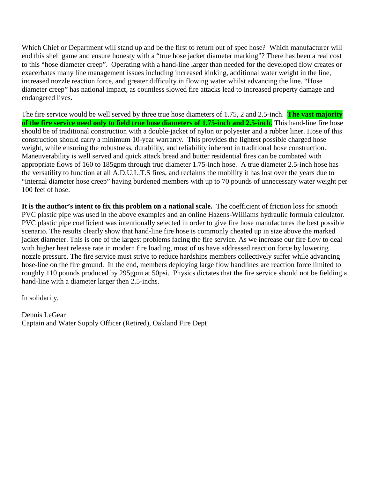Which Chief or Department will stand up and be the first to return out of spec hose? Which manufacturer will end this shell game and ensure honesty with a "true hose jacket diameter marking"? There has been a real cost to this "hose diameter creep". Operating with a hand-line larger than needed for the developed flow creates or exacerbates many line management issues including increased kinking, additional water weight in the line, increased nozzle reaction force, and greater difficulty in flowing water whilst advancing the line. "Hose diameter creep" has national impact, as countless slowed fire attacks lead to increased property damage and endangered lives.

The fire service would be well served by three true hose diameters of 1.75, 2 and 2.5-inch. **The vast majority of the fire service need only to field true hose diameters of 1.75-inch and 2.5-inch.** This hand-line fire hose should be of traditional construction with a double-jacket of nylon or polyester and a rubber liner. Hose of this construction should carry a minimum 10-year warranty. This provides the lightest possible charged hose weight, while ensuring the robustness, durability, and reliability inherent in traditional hose construction. Maneuverability is well served and quick attack bread and butter residential fires can be combated with appropriate flows of 160 to 185gpm through true diameter 1.75-inch hose. A true diameter 2.5-inch hose has the versatility to function at all A.D.U.L.T.S fires, and reclaims the mobility it has lost over the years due to "internal diameter hose creep" having burdened members with up to 70 pounds of unnecessary water weight per 100 feet of hose.

**It is the author's intent to fix this problem on a national scale.** The coefficient of friction loss for smooth PVC plastic pipe was used in the above examples and an online Hazens-Williams hydraulic formula calculator. PVC plastic pipe coefficient was intentionally selected in order to give fire hose manufactures the best possible scenario. The results clearly show that hand-line fire hose is commonly cheated up in size above the marked jacket diameter. This is one of the largest problems facing the fire service. As we increase our fire flow to deal with higher heat release rate in modern fire loading, most of us have addressed reaction force by lowering nozzle pressure. The fire service must strive to reduce hardships members collectively suffer while advancing hose-line on the fire ground. In the end, members deploying large flow handlines are reaction force limited to roughly 110 pounds produced by 295gpm at 50psi. Physics dictates that the fire service should not be fielding a hand-line with a diameter larger then 2.5-inchs.

In solidarity,

Dennis LeGear Captain and Water Supply Officer (Retired), Oakland Fire Dept